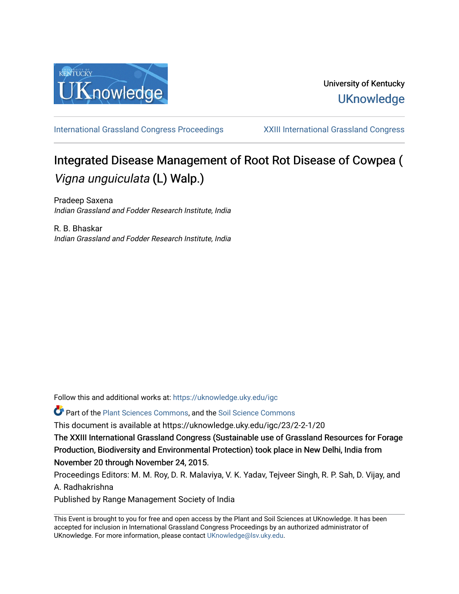

# University of Kentucky **UKnowledge**

[International Grassland Congress Proceedings](https://uknowledge.uky.edu/igc) [XXIII International Grassland Congress](https://uknowledge.uky.edu/igc/23) 

# Integrated Disease Management of Root Rot Disease of Cowpea ( Vigna unguiculata (L) Walp.)

Pradeep Saxena Indian Grassland and Fodder Research Institute, India

R. B. Bhaskar Indian Grassland and Fodder Research Institute, India

Follow this and additional works at: [https://uknowledge.uky.edu/igc](https://uknowledge.uky.edu/igc?utm_source=uknowledge.uky.edu%2Figc%2F23%2F2-2-1%2F20&utm_medium=PDF&utm_campaign=PDFCoverPages) 

Part of the [Plant Sciences Commons](http://network.bepress.com/hgg/discipline/102?utm_source=uknowledge.uky.edu%2Figc%2F23%2F2-2-1%2F20&utm_medium=PDF&utm_campaign=PDFCoverPages), and the [Soil Science Commons](http://network.bepress.com/hgg/discipline/163?utm_source=uknowledge.uky.edu%2Figc%2F23%2F2-2-1%2F20&utm_medium=PDF&utm_campaign=PDFCoverPages) 

This document is available at https://uknowledge.uky.edu/igc/23/2-2-1/20

The XXIII International Grassland Congress (Sustainable use of Grassland Resources for Forage Production, Biodiversity and Environmental Protection) took place in New Delhi, India from November 20 through November 24, 2015.

Proceedings Editors: M. M. Roy, D. R. Malaviya, V. K. Yadav, Tejveer Singh, R. P. Sah, D. Vijay, and A. Radhakrishna

Published by Range Management Society of India

This Event is brought to you for free and open access by the Plant and Soil Sciences at UKnowledge. It has been accepted for inclusion in International Grassland Congress Proceedings by an authorized administrator of UKnowledge. For more information, please contact [UKnowledge@lsv.uky.edu](mailto:UKnowledge@lsv.uky.edu).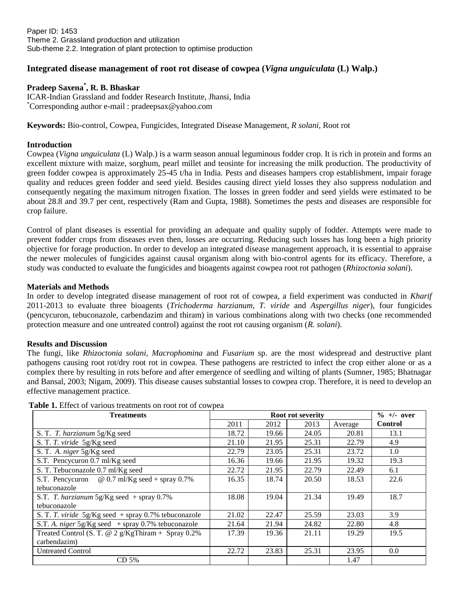Paper ID: 1453 Theme 2. Grassland production and utilization Sub-theme 2.2. Integration of plant protection to optimise production

## **Integrated disease management of root rot disease of cowpea (***Vigna unguiculata* **(L) Walp.)**

### **Pradeep Saxena\* , R. B. Bhaskar**

ICAR-Indian Grassland and fodder Research Institute, Jhansi, India \*Corresponding author e-mail : pradeepsax@yahoo.com

**Keywords:** Bio-control, Cowpea, Fungicides, Integrated Disease Management, *R solani*, Root rot

#### **Introduction**

Cowpea (*Vigna unguiculata* (L) Walp.) is a warm season annual leguminous fodder crop. It is rich in protein and forms an excellent mixture with maize, sorghum, pearl millet and teosinte for increasing the milk production. The productivity of green fodder cowpea is approximately 25-45 t/ha in India. Pests and diseases hampers crop establishment, impair forage quality and reduces green fodder and seed yield. Besides causing direct yield losses they also suppress nodulation and consequently negating the maximum nitrogen fixation. The losses in green fodder and seed yields were estimated to be about 28.8 and 39.7 per cent, respectively (Ram and Gupta, 1988). Sometimes the pests and diseases are responsible for crop failure.

Control of plant diseases is essential for providing an adequate and quality supply of fodder. Attempts were made to prevent fodder crops from diseases even then, losses are occurring. Reducing such losses has long been a high priority objective for forage production. In order to develop an integrated disease management approach, it is essential to appraise the newer molecules of fungicides against causal organism along with bio-control agents for its efficacy. Therefore, a study was conducted to evaluate the fungicides and bioagents against cowpea root rot pathogen (*Rhizoctonia solani*).

#### **Materials and Methods**

In order to develop integrated disease management of root rot of cowpea, a field experiment was conducted in *Kharif* 2011-2013 to evaluate three bioagents (*Trichoderma harzianum, T. viride* and *Aspergillus niger*), four fungicides (pencycuron, tebuconazole, carbendazim and thiram) in various combinations along with two checks (one recommended protection measure and one untreated control) against the root rot causing organism (*R. solani*).

#### **Results and Discussion**

The fungi, like *Rhizoctonia solani, Macrophomina* and *Fusarium* sp. are the most widespread and destructive plant pathogens causing root rot/dry root rot in cowpea. These pathogens are restricted to infect the crop either alone or as a complex there by resulting in rots before and after emergence of seedling and wilting of plants (Sumner, 1985; Bhatnagar and Bansal, 2003; Nigam, 2009). This disease causes substantial losses to cowpea crop. Therefore, it is need to develop an effective management practice.

| <b>Treatments</b>                                      | Root rot severity |       |       |         | $\%$ +/- over  |
|--------------------------------------------------------|-------------------|-------|-------|---------|----------------|
|                                                        | 2011              | 2012  | 2013  | Average | <b>Control</b> |
| S. T. T. harzianum 5g/Kg seed                          | 18.72             | 19.66 | 24.05 | 20.81   | 13.1           |
| S. T. T. viride 5g/Kg seed                             | 21.10             | 21.95 | 25.31 | 22.79   | 4.9            |
| S. T. A. niger 5g/Kg seed                              | 22.79             | 23.05 | 25.31 | 23.72   | 1.0            |
| S.T. Pencycuron 0.7 ml/Kg seed                         | 16.36             | 19.66 | 21.95 | 19.32   | 19.3           |
| S. T. Tebuconazole 0.7 ml/Kg seed                      | 22.72             | 21.95 | 22.79 | 22.49   | 6.1            |
| S.T. Pencycuron $\omega$ 0.7 ml/Kg seed + spray 0.7%   | 16.35             | 18.74 | 20.50 | 18.53   | 22.6           |
| tebuconazole                                           |                   |       |       |         |                |
| S.T. T. harzianum $5g/Kg$ seed + spray 0.7%            | 18.08             | 19.04 | 21.34 | 19.49   | 18.7           |
| tebuconazole                                           |                   |       |       |         |                |
| S. T. T. viride $5g/Kg$ seed + spray 0.7% tebuconazole | 21.02             | 22.47 | 25.59 | 23.03   | 3.9            |
| S.T. A. niger $5g/Kg$ seed + spray 0.7% tebuconazole   | 21.64             | 21.94 | 24.82 | 22.80   | 4.8            |
| Treated Control (S. T. @ 2 $g/KgThiram + Spray 0.2\%$  | 17.39             | 19.36 | 21.11 | 19.29   | 19.5           |
| carbendazim)                                           |                   |       |       |         |                |
| <b>Untreated Control</b>                               | 22.72             | 23.83 | 25.31 | 23.95   | 0.0            |
| CD <sub>5%</sub>                                       |                   |       |       | 1.47    |                |

**Table 1.** Effect of various treatments on root rot of cowpea